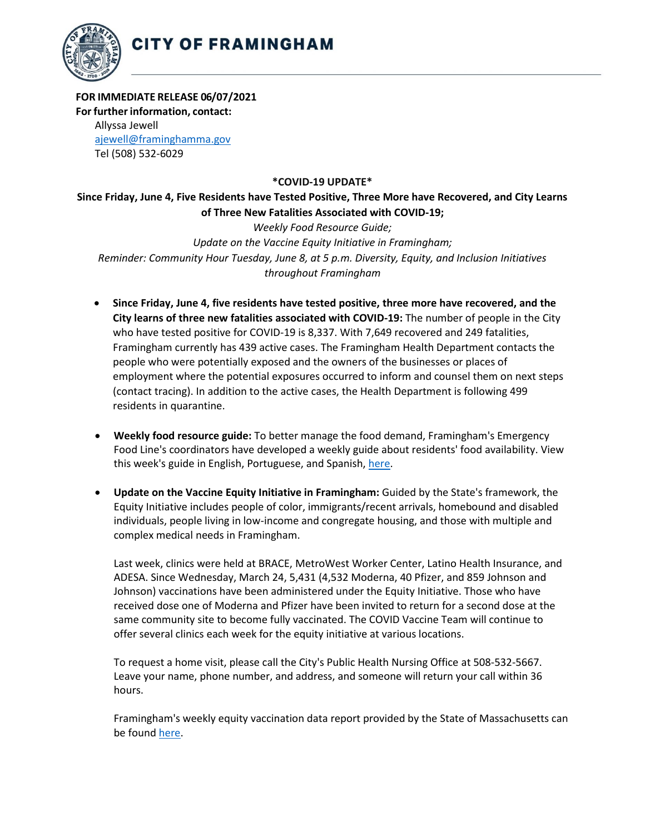

## **FOR IMMEDIATE RELEASE 06/07/2021**

**For further information, contact:**

Allyssa Jewell [ajewell@framinghamma.gov](mailto:ajewell@framinghamma.gov) Tel (508) 532-6029

## **\*COVID-19 UPDATE\***

## **Since Friday, June 4, Five Residents have Tested Positive, Three More have Recovered, and City Learns of Three New Fatalities Associated with COVID-19;**

*Weekly Food Resource Guide; Update on the Vaccine Equity Initiative in Framingham; Reminder: Community Hour Tuesday, June 8, at 5 p.m. Diversity, Equity, and Inclusion Initiatives throughout Framingham*

- **Since Friday, June 4, five residents have tested positive, three more have recovered, and the City learns of three new fatalities associated with COVID-19:** The number of people in the City who have tested positive for COVID-19 is 8,337. With 7,649 recovered and 249 fatalities, Framingham currently has 439 active cases. The Framingham Health Department contacts the people who were potentially exposed and the owners of the businesses or places of employment where the potential exposures occurred to inform and counsel them on next steps (contact tracing). In addition to the active cases, the Health Department is following 499 residents in quarantine.
- **Weekly food resource guide:** To better manage the food demand, Framingham's Emergency Food Line's coordinators have developed a weekly guide about residents' food availability. View this week's guide in English, Portuguese, and Spanish, [here.](https://www.framinghamma.gov/3023/Access-Food)
- **Update on the Vaccine Equity Initiative in Framingham:** Guided by the State's framework, the Equity Initiative includes people of color, immigrants/recent arrivals, homebound and disabled individuals, people living in low-income and congregate housing, and those with multiple and complex medical needs in Framingham.

Last week, clinics were held at BRACE, MetroWest Worker Center, Latino Health Insurance, and ADESA. Since Wednesday, March 24, 5,431 (4,532 Moderna, 40 Pfizer, and 859 Johnson and Johnson) vaccinations have been administered under the Equity Initiative. Those who have received dose one of Moderna and Pfizer have been invited to return for a second dose at the same community site to become fully vaccinated. The COVID Vaccine Team will continue to offer several clinics each week for the equity initiative at various locations.

To request a home visit, please call the City's Public Health Nursing Office at 508-532-5667. Leave your name, phone number, and address, and someone will return your call within 36 hours.

Framingham's weekly equity vaccination data report provided by the State of Massachusetts can be found [here.](https://www.mass.gov/doc/framingham-vaccination-data-report-may-28-2021/download)